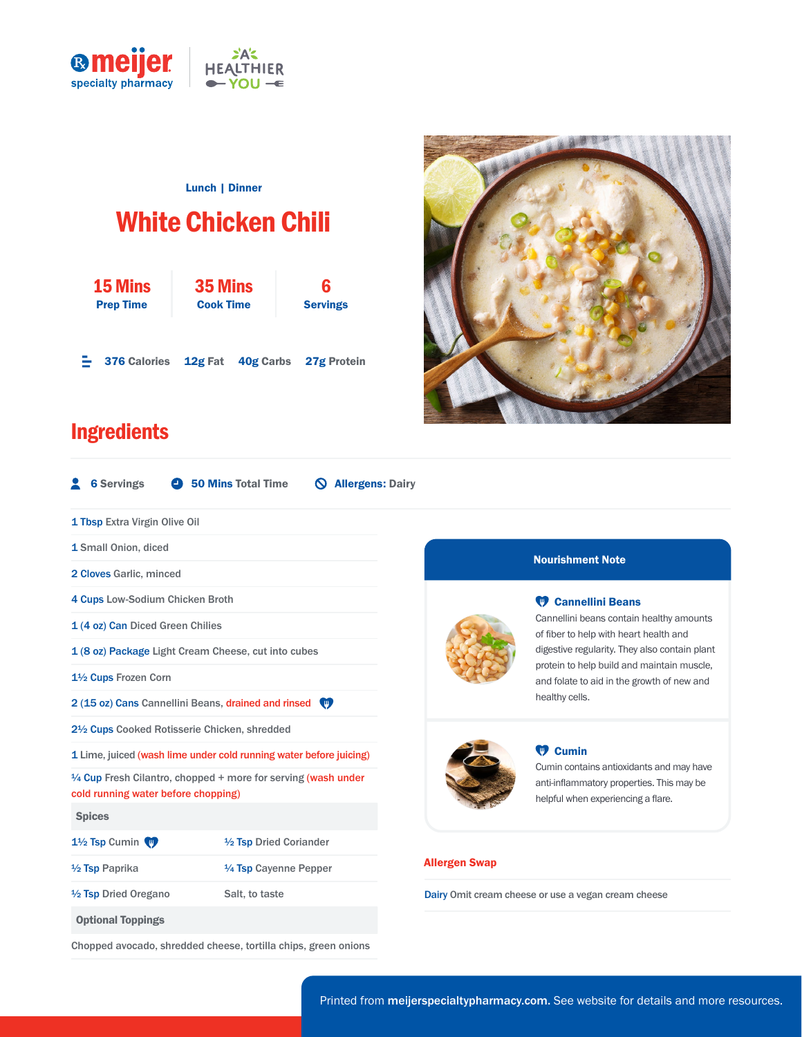

### Lunch | Dinner

# White Chicken Chili

| <b>15 Mins</b>      | 35 Mins          |  | 6                             |
|---------------------|------------------|--|-------------------------------|
| <b>Prep Time</b>    | <b>Cook Time</b> |  | <b>Servings</b>               |
| <b>376 Calories</b> |                  |  | 12g Fat 40g Carbs 27g Protein |

Chopped avocado, shredded cheese, tortilla chips, green onions



## **Ingredients**



#### Nourishment Note

#### **<sup>17</sup> Cannellini Beans**

Cannellini beans contain healthy amounts of fiber to help with heart health and digestive regularity. They also contain plant protein to help build and maintain muscle, and folate to aid in the growth of new and healthy cells.

#### <sup>*TD*</sup> Cumin

Cumin contains antioxidants and may have anti-inflammatory properties. This may be helpful when experiencing a flare.

Dairy Omit cream cheese or use a vegan cream cheese